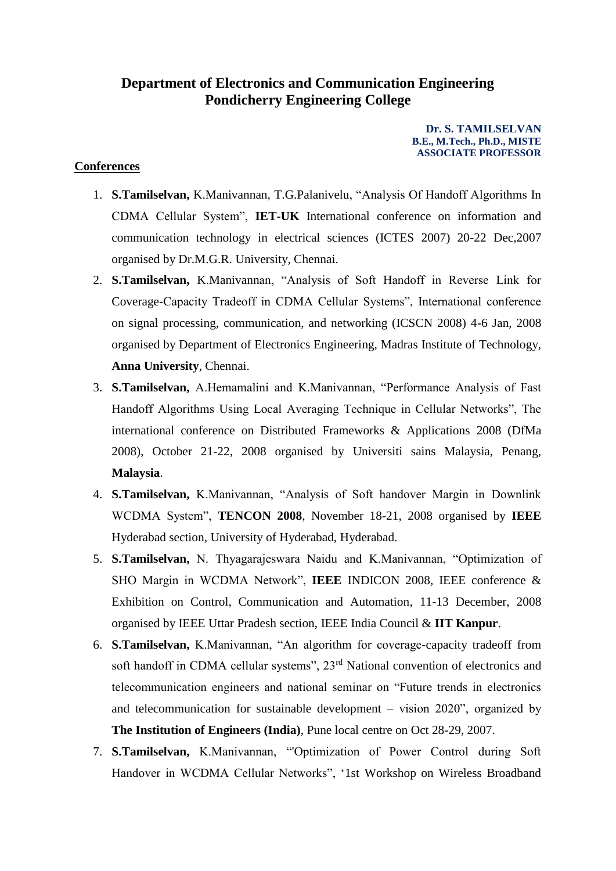## **Department of Electronics and Communication Engineering Pondicherry Engineering College**

**Dr. S. TAMILSELVAN B.E., M.Tech., Ph.D., MISTE ASSOCIATE PROFESSOR**

## **Conferences**

- 1. **S.Tamilselvan,** K.Manivannan, T.G.Palanivelu, "Analysis Of Handoff Algorithms In CDMA Cellular System", **IET-UK** International conference on information and communication technology in electrical sciences (ICTES 2007) 20-22 Dec,2007 organised by Dr.M.G.R. University, Chennai.
- 2. **S.Tamilselvan,** K.Manivannan, "Analysis of Soft Handoff in Reverse Link for Coverage-Capacity Tradeoff in CDMA Cellular Systems", International conference on signal processing, communication, and networking (ICSCN 2008) 4-6 Jan, 2008 organised by Department of Electronics Engineering, Madras Institute of Technology, **Anna University**, Chennai.
- 3. **S.Tamilselvan,** A.Hemamalini and K.Manivannan, "Performance Analysis of Fast Handoff Algorithms Using Local Averaging Technique in Cellular Networks", The international conference on Distributed Frameworks & Applications 2008 (DfMa 2008), October 21-22, 2008 organised by Universiti sains Malaysia, Penang, **Malaysia**.
- 4. **S.Tamilselvan,** K.Manivannan, "Analysis of Soft handover Margin in Downlink WCDMA System", **TENCON 2008**, November 18-21, 2008 organised by **IEEE** Hyderabad section, University of Hyderabad, Hyderabad.
- 5. **S.Tamilselvan,** N. Thyagarajeswara Naidu and K.Manivannan, "Optimization of SHO Margin in WCDMA Network", **IEEE** INDICON 2008, IEEE conference & Exhibition on Control, Communication and Automation, 11-13 December, 2008 organised by IEEE Uttar Pradesh section, IEEE India Council & **IIT Kanpur**.
- 6. **S.Tamilselvan,** K.Manivannan, "An algorithm for coverage-capacity tradeoff from soft handoff in CDMA cellular systems", 23<sup>rd</sup> National convention of electronics and telecommunication engineers and national seminar on "Future trends in electronics and telecommunication for sustainable development – vision 2020", organized by **The Institution of Engineers (India)**, Pune local centre on Oct 28-29, 2007.
- 7. **S.Tamilselvan,** K.Manivannan, "'Optimization of Power Control during Soft Handover in WCDMA Cellular Networks", '1st Workshop on Wireless Broadband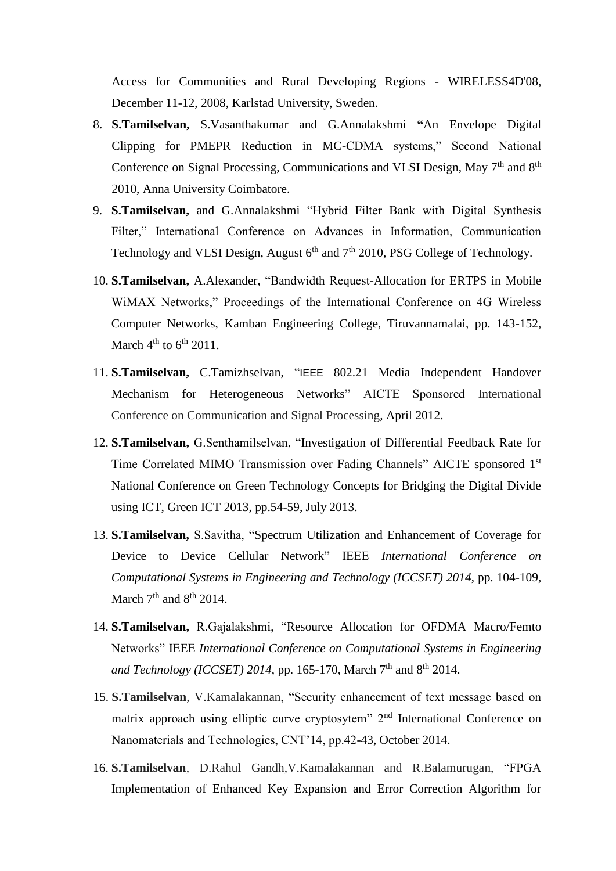Access for Communities and Rural Developing Regions - WIRELESS4D'08, December 11-12, 2008, Karlstad University, Sweden.

- 8. **S.Tamilselvan,** S.Vasanthakumar and G.Annalakshmi **"**An Envelope Digital Clipping for PMEPR Reduction in MC-CDMA systems," Second National Conference on Signal Processing, Communications and VLSI Design, May  $7<sup>th</sup>$  and  $8<sup>th</sup>$ 2010, Anna University Coimbatore.
- 9. **S.Tamilselvan,** and G.Annalakshmi "Hybrid Filter Bank with Digital Synthesis Filter," International Conference on Advances in Information, Communication Technology and VLSI Design, August 6<sup>th</sup> and 7<sup>th</sup> 2010, PSG College of Technology.
- 10. **S.Tamilselvan,** A.Alexander, "Bandwidth Request-Allocation for ERTPS in Mobile WiMAX Networks," Proceedings of the International Conference on 4G Wireless Computer Networks, Kamban Engineering College, Tiruvannamalai, pp. 143-152, March  $4<sup>th</sup>$  to  $6<sup>th</sup>$  2011.
- 11. **S.Tamilselvan,** C.Tamizhselvan, "IEEE 802.21 Media Independent Handover Mechanism for Heterogeneous Networks" AICTE Sponsored International Conference on Communication and Signal Processing*,* April 2012.
- 12. **S.Tamilselvan,** G.Senthamilselvan, "Investigation of Differential Feedback Rate for Time Correlated MIMO Transmission over Fading Channels" AICTE sponsored 1st National Conference on Green Technology Concepts for Bridging the Digital Divide using ICT, Green ICT 2013, pp.54-59, July 2013.
- 13. **S.Tamilselvan,** S.Savitha, "Spectrum Utilization and Enhancement of Coverage for Device to Device Cellular Network" IEEE *International Conference on Computational Systems in Engineering and Technology (ICCSET) 2014*, pp. 104-109, March  $7<sup>th</sup>$  and  $8<sup>th</sup>$  2014.
- 14. **S.Tamilselvan,** R.Gajalakshmi, "Resource Allocation for OFDMA Macro/Femto Networks" IEEE *International Conference on Computational Systems in Engineering*  and Technology (ICCSET) 2014, pp. 165-170, March 7<sup>th</sup> and 8<sup>th</sup> 2014.
- 15. **S.Tamilselvan**, V.Kamalakannan, "Security enhancement of text message based on matrix approach using elliptic curve cryptosytem" 2<sup>nd</sup> International Conference on Nanomaterials and Technologies, CNT'14, pp.42-43, October 2014.
- 16. **S.Tamilselvan**, D.Rahul Gandh,V.Kamalakannan and R.Balamurugan, "FPGA Implementation of Enhanced Key Expansion and Error Correction Algorithm for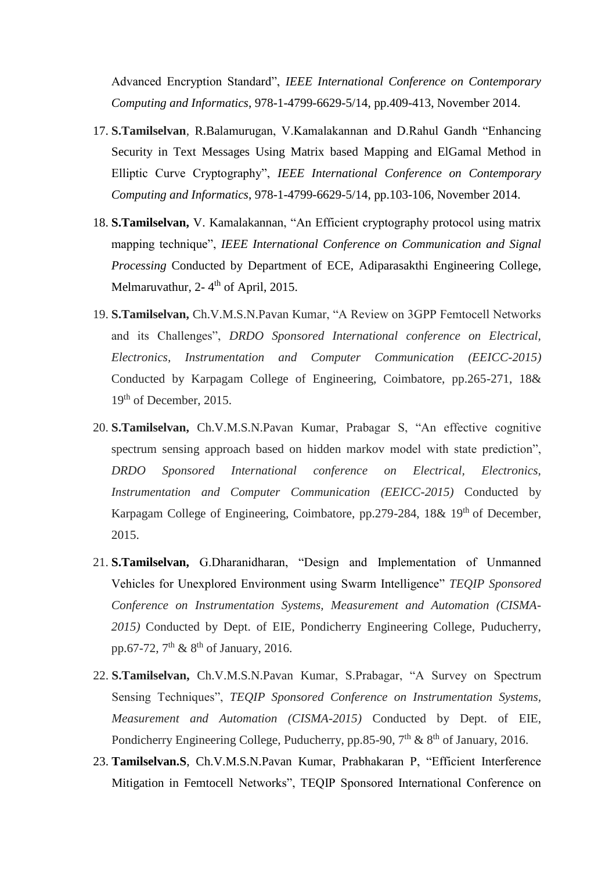Advanced Encryption Standard", *IEEE International Conference on Contemporary Computing and Informatics*, 978-1-4799-6629-5/14, pp.409-413, November 2014.

- 17. **S.Tamilselvan**, R.Balamurugan, V.Kamalakannan and D.Rahul Gandh "Enhancing Security in Text Messages Using Matrix based Mapping and ElGamal Method in Elliptic Curve Cryptography", *IEEE International Conference on Contemporary Computing and Informatics*, 978-1-4799-6629-5/14, pp.103-106, November 2014.
- 18. **S.Tamilselvan,** V. Kamalakannan, "An Efficient cryptography protocol using matrix mapping technique", *IEEE International Conference on Communication and Signal Processing* Conducted by Department of ECE, Adiparasakthi Engineering College, Melmaruvathur, 2-4<sup>th</sup> of April, 2015.
- 19. **S.Tamilselvan,** Ch.V.M.S.N.Pavan Kumar, "A Review on 3GPP Femtocell Networks and its Challenges", *DRDO Sponsored International conference on Electrical, Electronics, Instrumentation and Computer Communication (EEICC-2015)* Conducted by Karpagam College of Engineering, Coimbatore, pp.265-271, 18& 19<sup>th</sup> of December, 2015.
- 20. **S.Tamilselvan,** Ch.V.M.S.N.Pavan Kumar, Prabagar S, "An effective cognitive spectrum sensing approach based on hidden markov model with state prediction", *DRDO Sponsored International conference on Electrical, Electronics, Instrumentation and Computer Communication (EEICC-2015)* Conducted by Karpagam College of Engineering, Coimbatore, pp.279-284, 18& 19<sup>th</sup> of December, 2015.
- 21. **S.Tamilselvan,** G.Dharanidharan, "Design and Implementation of Unmanned Vehicles for Unexplored Environment using Swarm Intelligence" *TEQIP Sponsored Conference on Instrumentation Systems, Measurement and Automation (CISMA-2015)* Conducted by Dept. of EIE, Pondicherry Engineering College, Puducherry, pp.67-72,  $7<sup>th</sup>$  &  $8<sup>th</sup>$  of January, 2016.
- 22. **S.Tamilselvan,** Ch.V.M.S.N.Pavan Kumar, S.Prabagar, "A Survey on Spectrum Sensing Techniques", *TEQIP Sponsored Conference on Instrumentation Systems, Measurement and Automation (CISMA-2015)* Conducted by Dept. of EIE, Pondicherry Engineering College, Puducherry, pp.85-90,  $7<sup>th</sup>$  &  $8<sup>th</sup>$  of January, 2016.
- 23. **Tamilselvan.S**, Ch.V.M.S.N.Pavan Kumar, Prabhakaran P, "Efficient Interference Mitigation in Femtocell Networks", TEQIP Sponsored International Conference on